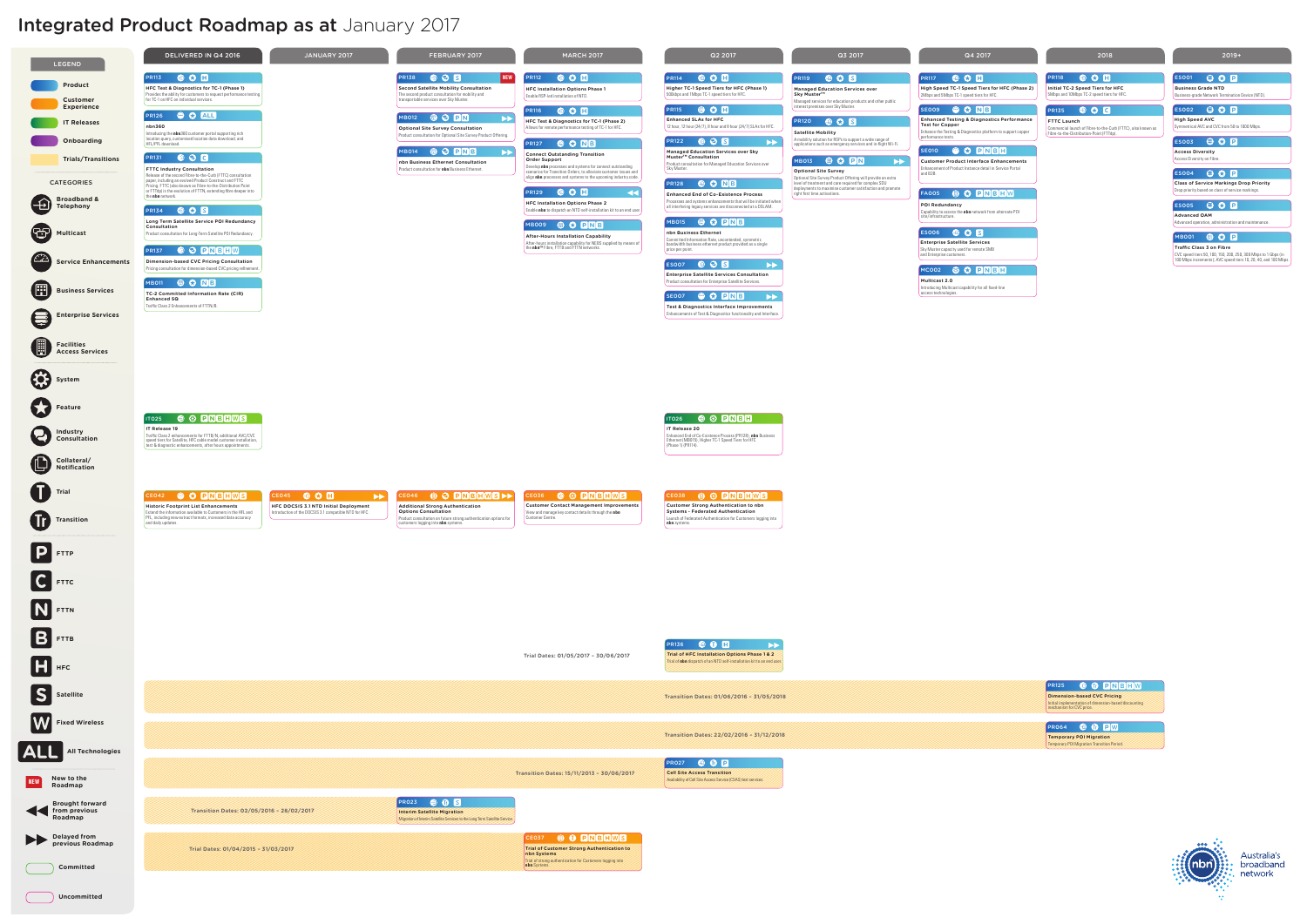# Integrated Product Roadmap as at January 2017



**Business Grade NTD** Business-grade Network Termination Device (NTD).

## $ESOO2$   $\bigoplus$   $\bigodot$   $\bigoplus$

**High Speed AVC** Symmetrical AVC and CVC from 50 to 1000 Mbps.

#### **Access Diversity**  $S003$   $\oplus$   $\odot$   $\Box$

**Class of Service Markings Drop Priority** Drop priority based on class of service markings. ES004 **O C** 

 $\begin{bmatrix} 1 & 0 & 0 \\ 0 & 0 & 0 \\ 0 & 0 & 0 \\ 0 & 0 & 0 \\ 0 & 0 & 0 \\ 0 & 0 & 0 \\ 0 & 0 & 0 & 0 \\ 0 & 0 & 0 & 0 \\ 0 & 0 & 0 & 0 \\ 0 & 0 & 0 & 0 \\ 0 & 0 & 0 & 0 \\ 0 & 0 & 0 & 0 & 0 \\ 0 & 0 & 0 & 0 & 0 \\ 0 & 0 & 0 & 0 & 0 \\ 0 & 0 & 0 & 0 & 0 & 0 \\ 0 & 0 & 0 & 0 & 0 & 0 \\ 0 & 0 & 0 & 0 & 0 & 0 \\$ 

**Advanced OAM** Advanced operation, administration and mainte

## **MB001 BOD**

#### Q3 2017 2018 2019+

Access Diversity on Fibre.

**Traffic Class 3 on Fibre** CVC speed tiers 50, 100, 150, 200, 250, 300 Mbps to 1 Gbps (in 100 Mbps increments); AVC speed tiers 10, 20, 40, and 100 Mbps.

**Enhanced Testing & Diagnostics Performance Test for Copper** Enhance the Testing & Diagnostics platform to support copper SE009<sup>9</sup>**CNB** 

**Optional Site Survey**

Optional Site Survey Product Offering will provide an extra level of treatment and care required for complex SDU deployments to maximise customer satisfaction and promote

 $M$ B013 **O C P N**  $\rightarrow$ 

right first time activations.

Initial implementation of dimension-based discounting mechanism for CVC price. PR125 <sup>**O C DNBHW**</sup>

**Theory POI Migration Transition Period.** PR064 **<sup>O</sup> D D D W** 





**POI Redundancy** Capability to access the **nbn** network from alternate POI site/infrastructure.

**Customer Product Interface Enhancements** Enhancement of Product Instance detail in Service Portal and B2B. SE010 <sup>@</sup> C PNBH

**AOOS OC PNBHW** 

performance tests.

**Multicast 2.0** Introducing Multicast capability for all fixed-line access technologies. MC002 **+ C PNBH** 

**Enterprise Satellite Services Sky Muster capacity used for remote SMB** and Enterprise customers. ES006 **OCE** 

PR117  $\bullet$  o  $\bullet$ **High Speed TC-1 Speed Tiers for HFC (Phase 2)** 2Mbps and 5Mbps TC-1 speed tiers for HFC.

> **FTTC Launch**  Commercial launch of Fibre-to-the-Curb (FTTC), also known as Fibre-to-the-Distribution-Point (FTTdp). **PR135 © C C**

## $S$ 001  $\oplus$   $\odot$   $\Box$

**Initial TC-2 Speed Tiers for HFC** 5Mbps and 10Mbps TC-2 speed tiers for HFC. PR118

**Satellite Mobility**

**Sky Muster™** 

PR120 **@ C S** 

A mobility solution for RSPs to support a wide range of applications such as emergency services and in-flight Wi-Fi.

**Managed Education Services over** 

R119 **@ 0 B** 

Managed services for education products and other public interest premises over Sky Muster.